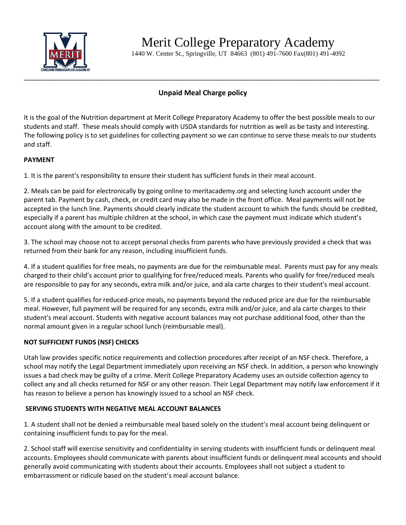

Merit College Preparatory Academy

1440 W. Center St., Springville, UT 84663 (801) 491-7600 Fax(801) 491-4092

# **Unpaid Meal Charge policy**

\_\_\_\_\_\_\_\_\_\_\_\_\_\_\_\_\_\_\_\_\_\_\_\_\_\_\_\_\_\_\_\_\_\_\_\_\_\_\_\_\_\_\_\_\_\_\_\_\_\_\_\_\_\_\_\_\_\_\_\_\_\_\_\_\_\_\_\_\_\_\_\_\_\_\_\_\_\_\_\_\_\_\_\_\_\_\_\_\_\_\_\_\_\_\_\_\_\_

It is the goal of the Nutrition department at Merit College Preparatory Academy to offer the best possible meals to our students and staff. These meals should comply with USDA standards for nutrition as well as be tasty and interesting. The following policy is to set guidelines for collecting payment so we can continue to serve these meals to our students and staff.

### **PAYMENT**

1. It is the parent's responsibility to ensure their student has sufficient funds in their meal account.

2. Meals can be paid for electronically by going online to meritacademy.org and selecting lunch account under the parent tab. Payment by cash, check, or credit card may also be made in the front office. Meal payments will not be accepted in the lunch line. Payments should clearly indicate the student account to which the funds should be credited, especially if a parent has multiple children at the school, in which case the payment must indicate which student's account along with the amount to be credited.

3. The school may choose not to accept personal checks from parents who have previously provided a check that was returned from their bank for any reason, including insufficient funds.

4. If a student qualifies for free meals, no payments are due for the reimbursable meal. Parents must pay for any meals charged to their child's account prior to qualifying for free/reduced meals. Parents who qualify for free/reduced meals are responsible to pay for any seconds, extra milk and/or juice, and ala carte charges to their student's meal account.

5. If a student qualifies for reduced-price meals, no payments beyond the reduced price are due for the reimbursable meal. However, full payment will be required for any seconds, extra milk and/or juice, and ala carte charges to their student's meal account. Students with negative account balances may not purchase additional food, other than the normal amount given in a regular school lunch (reimbursable meal).

## **NOT SUFFICIENT FUNDS (NSF) CHECKS**

Utah law provides specific notice requirements and collection procedures after receipt of an NSF check. Therefore, a school may notify the Legal Department immediately upon receiving an NSF check. In addition, a person who knowingly issues a bad check may be guilty of a crime. Merit College Preparatory Academy uses an outside collection agency to collect any and all checks returned for NSF or any other reason. Their Legal Department may notify law enforcement if it has reason to believe a person has knowingly issued to a school an NSF check.

#### **SERVING STUDENTS WITH NEGATIVE MEAL ACCOUNT BALANCES**

1. A student shall not be denied a reimbursable meal based solely on the student's meal account being delinquent or containing insufficient funds to pay for the meal.

2. School staff will exercise sensitivity and confidentiality in serving students with insufficient funds or delinquent meal accounts. Employees should communicate with parents about insufficient funds or delinquent meal accounts and should generally avoid communicating with students about their accounts. Employees shall not subject a student to embarrassment or ridicule based on the student's meal account balance.